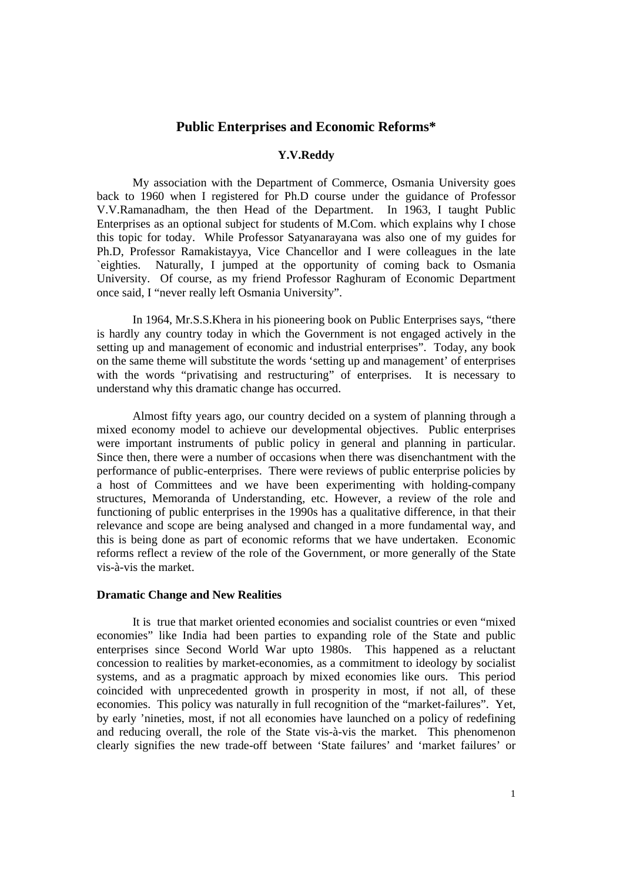# **Public Enterprises and Economic Reforms\***

# **Y.V.Reddy**

My association with the Department of Commerce, Osmania University goes back to 1960 when I registered for Ph.D course under the guidance of Professor V.V.Ramanadham, the then Head of the Department. In 1963, I taught Public Enterprises as an optional subject for students of M.Com. which explains why I chose this topic for today. While Professor Satyanarayana was also one of my guides for Ph.D, Professor Ramakistayya, Vice Chancellor and I were colleagues in the late `eighties. Naturally, I jumped at the opportunity of coming back to Osmania University. Of course, as my friend Professor Raghuram of Economic Department once said, I "never really left Osmania University".

In 1964, Mr.S.S.Khera in his pioneering book on Public Enterprises says, "there is hardly any country today in which the Government is not engaged actively in the setting up and management of economic and industrial enterprises". Today, any book on the same theme will substitute the words 'setting up and management' of enterprises with the words "privatising and restructuring" of enterprises. It is necessary to understand why this dramatic change has occurred.

Almost fifty years ago, our country decided on a system of planning through a mixed economy model to achieve our developmental objectives. Public enterprises were important instruments of public policy in general and planning in particular. Since then, there were a number of occasions when there was disenchantment with the performance of public-enterprises. There were reviews of public enterprise policies by a host of Committees and we have been experimenting with holding-company structures, Memoranda of Understanding, etc. However, a review of the role and functioning of public enterprises in the 1990s has a qualitative difference, in that their relevance and scope are being analysed and changed in a more fundamental way, and this is being done as part of economic reforms that we have undertaken. Economic reforms reflect a review of the role of the Government, or more generally of the State vis-à-vis the market.

### **Dramatic Change and New Realities**

It is true that market oriented economies and socialist countries or even "mixed economies" like India had been parties to expanding role of the State and public enterprises since Second World War upto 1980s. This happened as a reluctant concession to realities by market-economies, as a commitment to ideology by socialist systems, and as a pragmatic approach by mixed economies like ours. This period coincided with unprecedented growth in prosperity in most, if not all, of these economies. This policy was naturally in full recognition of the "market-failures". Yet, by early 'nineties, most, if not all economies have launched on a policy of redefining and reducing overall, the role of the State vis-à-vis the market. This phenomenon clearly signifies the new trade-off between 'State failures' and 'market failures' or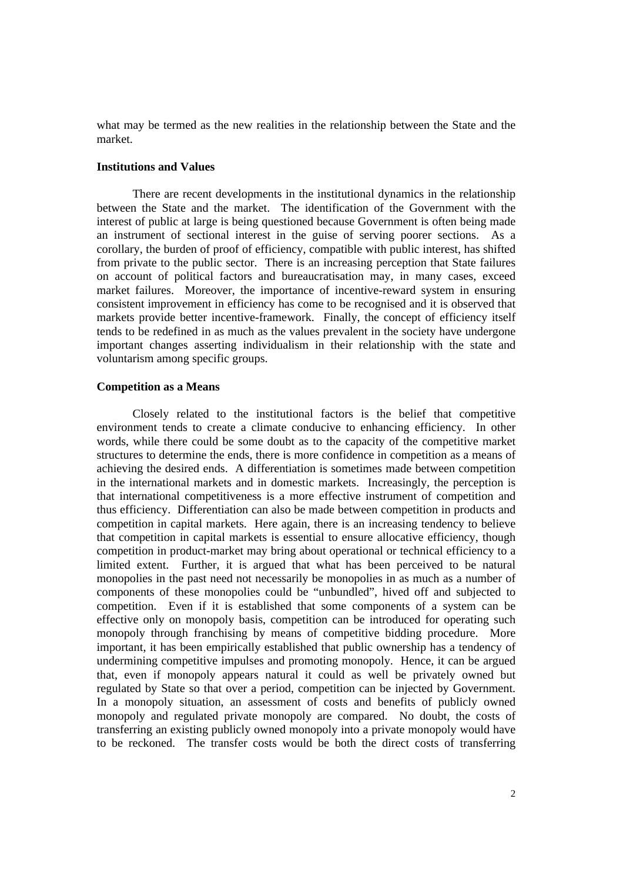what may be termed as the new realities in the relationship between the State and the market.

# **Institutions and Values**

There are recent developments in the institutional dynamics in the relationship between the State and the market. The identification of the Government with the interest of public at large is being questioned because Government is often being made an instrument of sectional interest in the guise of serving poorer sections. As a corollary, the burden of proof of efficiency, compatible with public interest, has shifted from private to the public sector. There is an increasing perception that State failures on account of political factors and bureaucratisation may, in many cases, exceed market failures. Moreover, the importance of incentive-reward system in ensuring consistent improvement in efficiency has come to be recognised and it is observed that markets provide better incentive-framework. Finally, the concept of efficiency itself tends to be redefined in as much as the values prevalent in the society have undergone important changes asserting individualism in their relationship with the state and voluntarism among specific groups.

### **Competition as a Means**

Closely related to the institutional factors is the belief that competitive environment tends to create a climate conducive to enhancing efficiency. In other words, while there could be some doubt as to the capacity of the competitive market structures to determine the ends, there is more confidence in competition as a means of achieving the desired ends. A differentiation is sometimes made between competition in the international markets and in domestic markets. Increasingly, the perception is that international competitiveness is a more effective instrument of competition and thus efficiency. Differentiation can also be made between competition in products and competition in capital markets. Here again, there is an increasing tendency to believe that competition in capital markets is essential to ensure allocative efficiency, though competition in product-market may bring about operational or technical efficiency to a limited extent. Further, it is argued that what has been perceived to be natural monopolies in the past need not necessarily be monopolies in as much as a number of components of these monopolies could be "unbundled", hived off and subjected to competition. Even if it is established that some components of a system can be effective only on monopoly basis, competition can be introduced for operating such monopoly through franchising by means of competitive bidding procedure. More important, it has been empirically established that public ownership has a tendency of undermining competitive impulses and promoting monopoly. Hence, it can be argued that, even if monopoly appears natural it could as well be privately owned but regulated by State so that over a period, competition can be injected by Government. In a monopoly situation, an assessment of costs and benefits of publicly owned monopoly and regulated private monopoly are compared. No doubt, the costs of transferring an existing publicly owned monopoly into a private monopoly would have to be reckoned. The transfer costs would be both the direct costs of transferring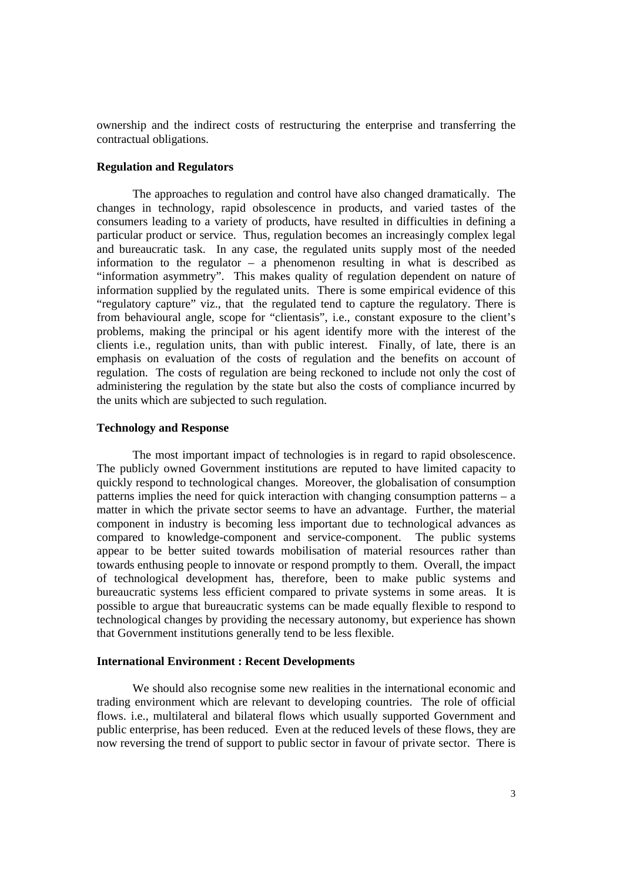ownership and the indirect costs of restructuring the enterprise and transferring the contractual obligations.

# **Regulation and Regulators**

The approaches to regulation and control have also changed dramatically. The changes in technology, rapid obsolescence in products, and varied tastes of the consumers leading to a variety of products, have resulted in difficulties in defining a particular product or service. Thus, regulation becomes an increasingly complex legal and bureaucratic task. In any case, the regulated units supply most of the needed information to the regulator – a phenomenon resulting in what is described as "information asymmetry". This makes quality of regulation dependent on nature of information supplied by the regulated units. There is some empirical evidence of this "regulatory capture" viz., that the regulated tend to capture the regulatory. There is from behavioural angle, scope for "clientasis", i.e., constant exposure to the client's problems, making the principal or his agent identify more with the interest of the clients i.e., regulation units, than with public interest. Finally, of late, there is an emphasis on evaluation of the costs of regulation and the benefits on account of regulation. The costs of regulation are being reckoned to include not only the cost of administering the regulation by the state but also the costs of compliance incurred by the units which are subjected to such regulation.

### **Technology and Response**

The most important impact of technologies is in regard to rapid obsolescence. The publicly owned Government institutions are reputed to have limited capacity to quickly respond to technological changes. Moreover, the globalisation of consumption patterns implies the need for quick interaction with changing consumption patterns – a matter in which the private sector seems to have an advantage. Further, the material component in industry is becoming less important due to technological advances as compared to knowledge-component and service-component. The public systems appear to be better suited towards mobilisation of material resources rather than towards enthusing people to innovate or respond promptly to them. Overall, the impact of technological development has, therefore, been to make public systems and bureaucratic systems less efficient compared to private systems in some areas. It is possible to argue that bureaucratic systems can be made equally flexible to respond to technological changes by providing the necessary autonomy, but experience has shown that Government institutions generally tend to be less flexible.

### **International Environment : Recent Developments**

We should also recognise some new realities in the international economic and trading environment which are relevant to developing countries. The role of official flows. i.e., multilateral and bilateral flows which usually supported Government and public enterprise, has been reduced. Even at the reduced levels of these flows, they are now reversing the trend of support to public sector in favour of private sector. There is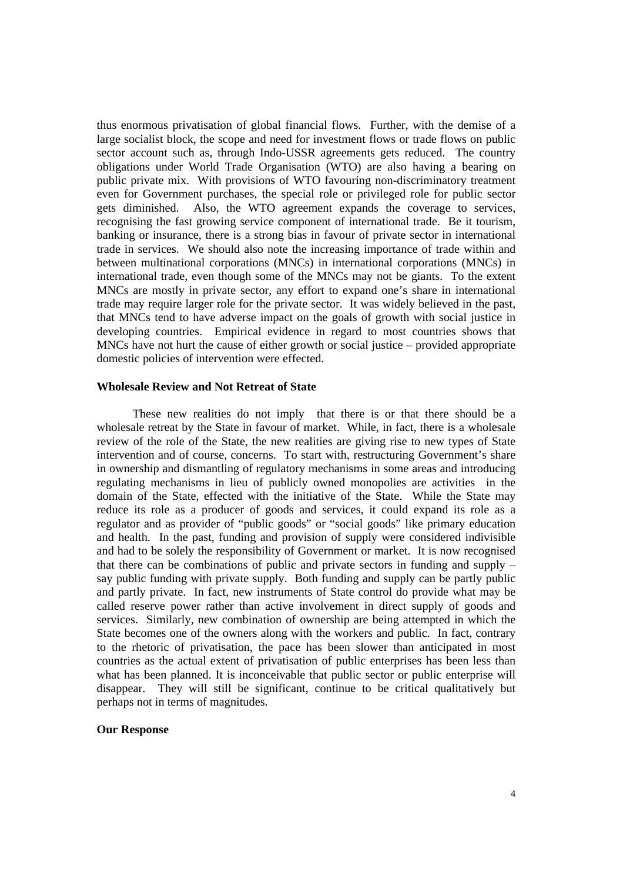thus enormous privatisation of global financial flows. Further, with the demise of a large socialist block, the scope and need for investment flows or trade flows on public sector account such as, through Indo-USSR agreements gets reduced. The country obligations under World Trade Organisation (WTO) are also having a bearing on public private mix. With provisions of WTO favouring non-discriminatory treatment even for Government purchases, the special role or privileged role for public sector gets diminished. Also, the WTO agreement expands the coverage to services, recognising the fast growing service component of international trade. Be it tourism, banking or insurance, there is a strong bias in favour of private sector in international trade in services. We should also note the increasing importance of trade within and between multinational corporations (MNCs) in international corporations (MNCs) in international trade, even though some of the MNCs may not be giants. To the extent MNCs are mostly in private sector, any effort to expand one's share in international trade may require larger role for the private sector. It was widely believed in the past, that MNCs tend to have adverse impact on the goals of growth with social justice in developing countries. Empirical evidence in regard to most countries shows that MNCs have not hurt the cause of either growth or social justice – provided appropriate domestic policies of intervention were effected.

### **Wholesale Review and Not Retreat of State**

These new realities do not imply that there is or that there should be a wholesale retreat by the State in favour of market. While, in fact, there is a wholesale review of the role of the State, the new realities are giving rise to new types of State intervention and of course, concerns. To start with, restructuring Government's share in ownership and dismantling of regulatory mechanisms in some areas and introducing regulating mechanisms in lieu of publicly owned monopolies are activities in the domain of the State, effected with the initiative of the State. While the State may reduce its role as a producer of goods and services, it could expand its role as a regulator and as provider of "public goods" or "social goods" like primary education and health. In the past, funding and provision of supply were considered indivisible and had to be solely the responsibility of Government or market. It is now recognised that there can be combinations of public and private sectors in funding and supply – say public funding with private supply. Both funding and supply can be partly public and partly private. In fact, new instruments of State control do provide what may be called reserve power rather than active involvement in direct supply of goods and services. Similarly, new combination of ownership are being attempted in which the State becomes one of the owners along with the workers and public. In fact, contrary to the rhetoric of privatisation, the pace has been slower than anticipated in most countries as the actual extent of privatisation of public enterprises has been less than what has been planned. It is inconceivable that public sector or public enterprise will disappear. They will still be significant, continue to be critical qualitatively but perhaps not in terms of magnitudes.

# **Our Response**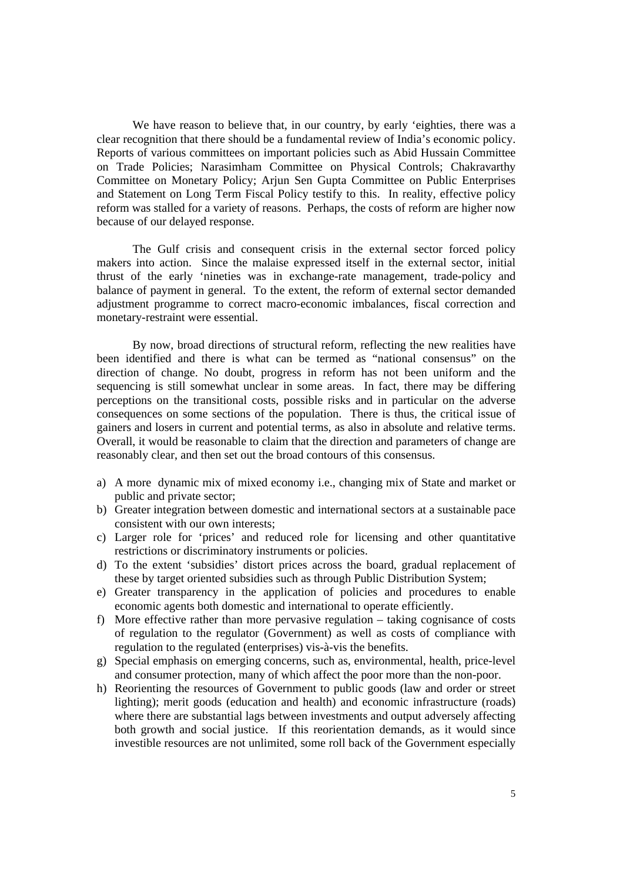We have reason to believe that, in our country, by early 'eighties, there was a clear recognition that there should be a fundamental review of India's economic policy. Reports of various committees on important policies such as Abid Hussain Committee on Trade Policies; Narasimham Committee on Physical Controls; Chakravarthy Committee on Monetary Policy; Arjun Sen Gupta Committee on Public Enterprises and Statement on Long Term Fiscal Policy testify to this. In reality, effective policy reform was stalled for a variety of reasons. Perhaps, the costs of reform are higher now because of our delayed response.

The Gulf crisis and consequent crisis in the external sector forced policy makers into action. Since the malaise expressed itself in the external sector, initial thrust of the early 'nineties was in exchange-rate management, trade-policy and balance of payment in general. To the extent, the reform of external sector demanded adjustment programme to correct macro-economic imbalances, fiscal correction and monetary-restraint were essential.

By now, broad directions of structural reform, reflecting the new realities have been identified and there is what can be termed as "national consensus" on the direction of change. No doubt, progress in reform has not been uniform and the sequencing is still somewhat unclear in some areas. In fact, there may be differing perceptions on the transitional costs, possible risks and in particular on the adverse consequences on some sections of the population. There is thus, the critical issue of gainers and losers in current and potential terms, as also in absolute and relative terms. Overall, it would be reasonable to claim that the direction and parameters of change are reasonably clear, and then set out the broad contours of this consensus.

- a) A more dynamic mix of mixed economy i.e., changing mix of State and market or public and private sector;
- b) Greater integration between domestic and international sectors at a sustainable pace consistent with our own interests;
- c) Larger role for 'prices' and reduced role for licensing and other quantitative restrictions or discriminatory instruments or policies.
- d) To the extent 'subsidies' distort prices across the board, gradual replacement of these by target oriented subsidies such as through Public Distribution System;
- e) Greater transparency in the application of policies and procedures to enable economic agents both domestic and international to operate efficiently.
- f) More effective rather than more pervasive regulation taking cognisance of costs of regulation to the regulator (Government) as well as costs of compliance with regulation to the regulated (enterprises) vis-à-vis the benefits.
- g) Special emphasis on emerging concerns, such as, environmental, health, price-level and consumer protection, many of which affect the poor more than the non-poor.
- h) Reorienting the resources of Government to public goods (law and order or street lighting); merit goods (education and health) and economic infrastructure (roads) where there are substantial lags between investments and output adversely affecting both growth and social justice. If this reorientation demands, as it would since investible resources are not unlimited, some roll back of the Government especially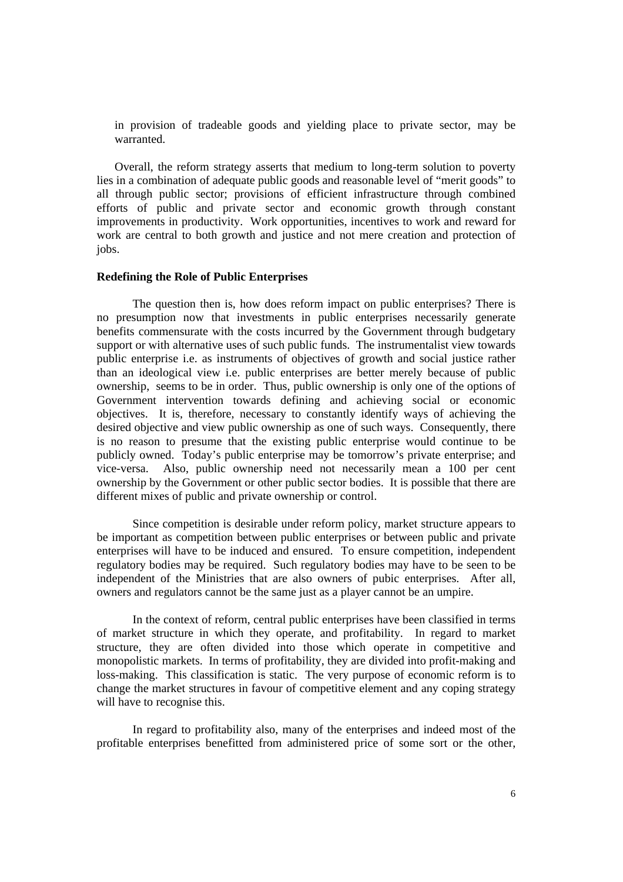in provision of tradeable goods and yielding place to private sector, may be warranted.

Overall, the reform strategy asserts that medium to long-term solution to poverty lies in a combination of adequate public goods and reasonable level of "merit goods" to all through public sector; provisions of efficient infrastructure through combined efforts of public and private sector and economic growth through constant improvements in productivity. Work opportunities, incentives to work and reward for work are central to both growth and justice and not mere creation and protection of jobs.

### **Redefining the Role of Public Enterprises**

The question then is, how does reform impact on public enterprises? There is no presumption now that investments in public enterprises necessarily generate benefits commensurate with the costs incurred by the Government through budgetary support or with alternative uses of such public funds. The instrumentalist view towards public enterprise i.e. as instruments of objectives of growth and social justice rather than an ideological view i.e. public enterprises are better merely because of public ownership, seems to be in order. Thus, public ownership is only one of the options of Government intervention towards defining and achieving social or economic objectives. It is, therefore, necessary to constantly identify ways of achieving the desired objective and view public ownership as one of such ways. Consequently, there is no reason to presume that the existing public enterprise would continue to be publicly owned. Today's public enterprise may be tomorrow's private enterprise; and vice-versa. Also, public ownership need not necessarily mean a 100 per cent ownership by the Government or other public sector bodies. It is possible that there are different mixes of public and private ownership or control.

Since competition is desirable under reform policy, market structure appears to be important as competition between public enterprises or between public and private enterprises will have to be induced and ensured. To ensure competition, independent regulatory bodies may be required. Such regulatory bodies may have to be seen to be independent of the Ministries that are also owners of pubic enterprises. After all, owners and regulators cannot be the same just as a player cannot be an umpire.

In the context of reform, central public enterprises have been classified in terms of market structure in which they operate, and profitability. In regard to market structure, they are often divided into those which operate in competitive and monopolistic markets. In terms of profitability, they are divided into profit-making and loss-making. This classification is static. The very purpose of economic reform is to change the market structures in favour of competitive element and any coping strategy will have to recognise this.

In regard to profitability also, many of the enterprises and indeed most of the profitable enterprises benefitted from administered price of some sort or the other,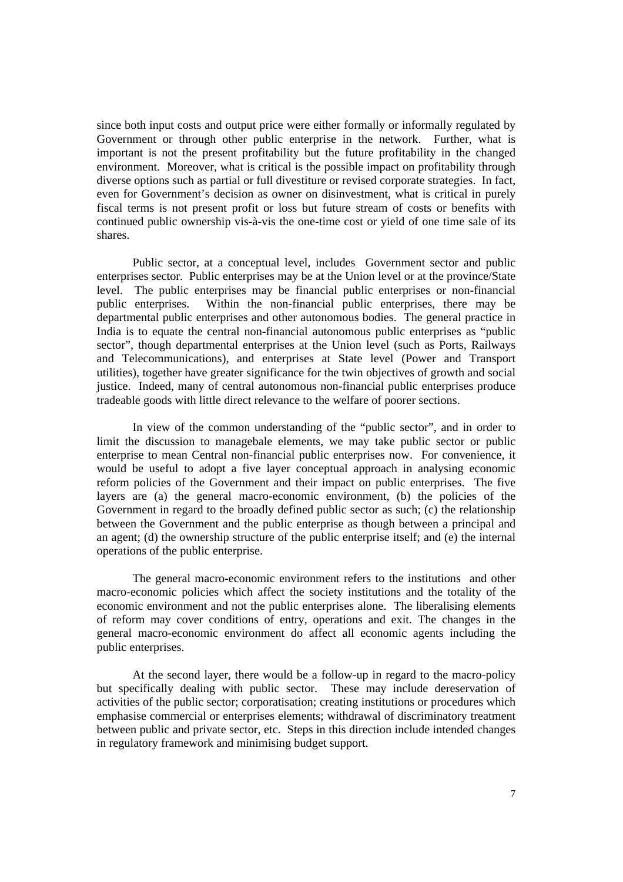since both input costs and output price were either formally or informally regulated by Government or through other public enterprise in the network. Further, what is important is not the present profitability but the future profitability in the changed environment. Moreover, what is critical is the possible impact on profitability through diverse options such as partial or full divestiture or revised corporate strategies. In fact, even for Government's decision as owner on disinvestment, what is critical in purely fiscal terms is not present profit or loss but future stream of costs or benefits with continued public ownership vis-à-vis the one-time cost or yield of one time sale of its shares.

Public sector, at a conceptual level, includes Government sector and public enterprises sector. Public enterprises may be at the Union level or at the province/State level. The public enterprises may be financial public enterprises or non-financial public enterprises. Within the non-financial public enterprises, there may be departmental public enterprises and other autonomous bodies. The general practice in India is to equate the central non-financial autonomous public enterprises as "public sector", though departmental enterprises at the Union level (such as Ports, Railways and Telecommunications), and enterprises at State level (Power and Transport utilities), together have greater significance for the twin objectives of growth and social justice. Indeed, many of central autonomous non-financial public enterprises produce tradeable goods with little direct relevance to the welfare of poorer sections.

In view of the common understanding of the "public sector", and in order to limit the discussion to managebale elements, we may take public sector or public enterprise to mean Central non-financial public enterprises now. For convenience, it would be useful to adopt a five layer conceptual approach in analysing economic reform policies of the Government and their impact on public enterprises. The five layers are (a) the general macro-economic environment, (b) the policies of the Government in regard to the broadly defined public sector as such; (c) the relationship between the Government and the public enterprise as though between a principal and an agent; (d) the ownership structure of the public enterprise itself; and (e) the internal operations of the public enterprise.

The general macro-economic environment refers to the institutions and other macro-economic policies which affect the society institutions and the totality of the economic environment and not the public enterprises alone. The liberalising elements of reform may cover conditions of entry, operations and exit. The changes in the general macro-economic environment do affect all economic agents including the public enterprises.

At the second layer, there would be a follow-up in regard to the macro-policy but specifically dealing with public sector. These may include dereservation of activities of the public sector; corporatisation; creating institutions or procedures which emphasise commercial or enterprises elements; withdrawal of discriminatory treatment between public and private sector, etc. Steps in this direction include intended changes in regulatory framework and minimising budget support.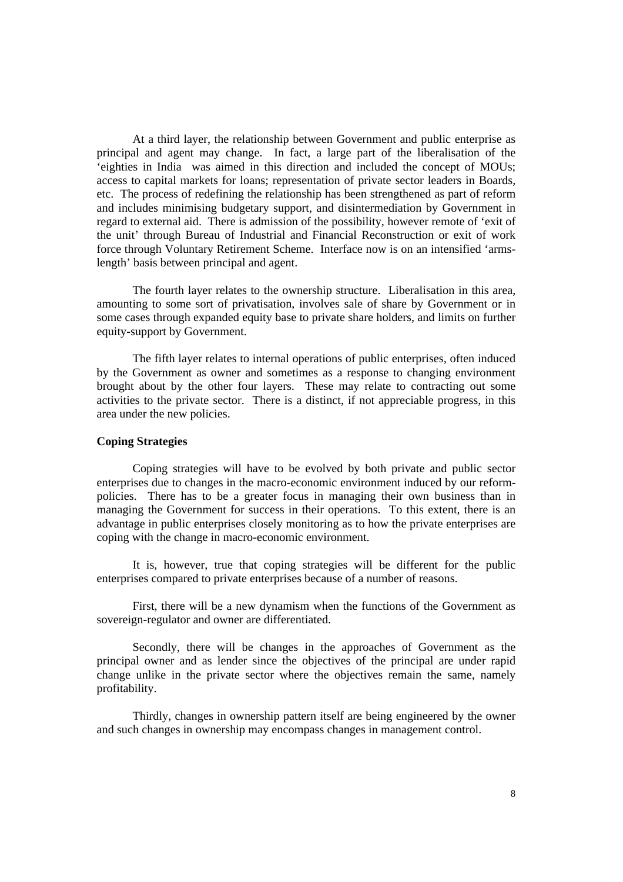At a third layer, the relationship between Government and public enterprise as principal and agent may change. In fact, a large part of the liberalisation of the 'eighties in India was aimed in this direction and included the concept of MOUs; access to capital markets for loans; representation of private sector leaders in Boards, etc. The process of redefining the relationship has been strengthened as part of reform and includes minimising budgetary support, and disintermediation by Government in regard to external aid. There is admission of the possibility, however remote of 'exit of the unit' through Bureau of Industrial and Financial Reconstruction or exit of work force through Voluntary Retirement Scheme. Interface now is on an intensified 'armslength' basis between principal and agent.

The fourth layer relates to the ownership structure. Liberalisation in this area, amounting to some sort of privatisation, involves sale of share by Government or in some cases through expanded equity base to private share holders, and limits on further equity-support by Government.

The fifth layer relates to internal operations of public enterprises, often induced by the Government as owner and sometimes as a response to changing environment brought about by the other four layers. These may relate to contracting out some activities to the private sector. There is a distinct, if not appreciable progress, in this area under the new policies.

# **Coping Strategies**

Coping strategies will have to be evolved by both private and public sector enterprises due to changes in the macro-economic environment induced by our reformpolicies. There has to be a greater focus in managing their own business than in managing the Government for success in their operations. To this extent, there is an advantage in public enterprises closely monitoring as to how the private enterprises are coping with the change in macro-economic environment.

It is, however, true that coping strategies will be different for the public enterprises compared to private enterprises because of a number of reasons.

First, there will be a new dynamism when the functions of the Government as sovereign-regulator and owner are differentiated.

Secondly, there will be changes in the approaches of Government as the principal owner and as lender since the objectives of the principal are under rapid change unlike in the private sector where the objectives remain the same, namely profitability.

Thirdly, changes in ownership pattern itself are being engineered by the owner and such changes in ownership may encompass changes in management control.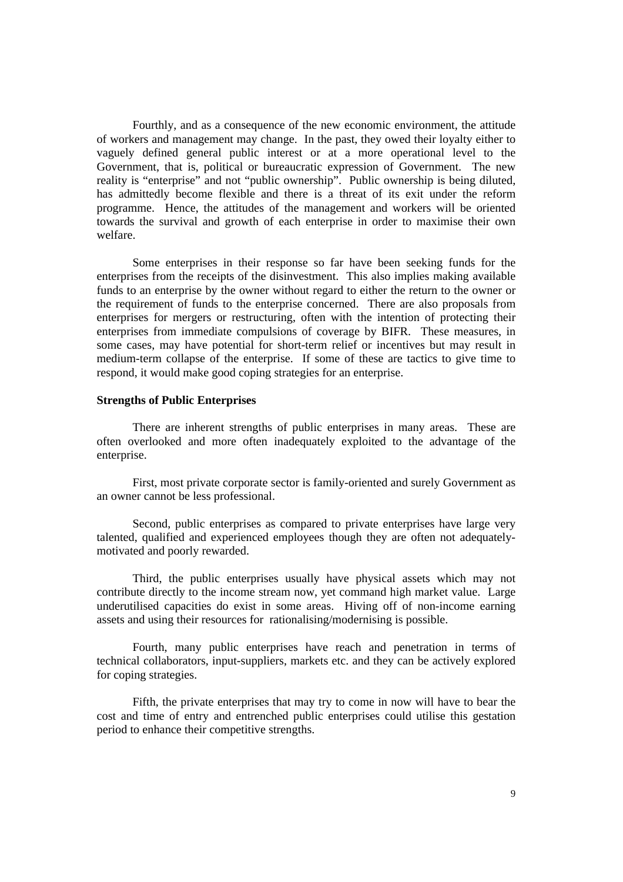Fourthly, and as a consequence of the new economic environment, the attitude of workers and management may change. In the past, they owed their loyalty either to vaguely defined general public interest or at a more operational level to the Government, that is, political or bureaucratic expression of Government. The new reality is "enterprise" and not "public ownership". Public ownership is being diluted, has admittedly become flexible and there is a threat of its exit under the reform programme. Hence, the attitudes of the management and workers will be oriented towards the survival and growth of each enterprise in order to maximise their own welfare.

Some enterprises in their response so far have been seeking funds for the enterprises from the receipts of the disinvestment. This also implies making available funds to an enterprise by the owner without regard to either the return to the owner or the requirement of funds to the enterprise concerned. There are also proposals from enterprises for mergers or restructuring, often with the intention of protecting their enterprises from immediate compulsions of coverage by BIFR. These measures, in some cases, may have potential for short-term relief or incentives but may result in medium-term collapse of the enterprise. If some of these are tactics to give time to respond, it would make good coping strategies for an enterprise.

### **Strengths of Public Enterprises**

There are inherent strengths of public enterprises in many areas. These are often overlooked and more often inadequately exploited to the advantage of the enterprise.

First, most private corporate sector is family-oriented and surely Government as an owner cannot be less professional.

Second, public enterprises as compared to private enterprises have large very talented, qualified and experienced employees though they are often not adequatelymotivated and poorly rewarded.

Third, the public enterprises usually have physical assets which may not contribute directly to the income stream now, yet command high market value. Large underutilised capacities do exist in some areas. Hiving off of non-income earning assets and using their resources for rationalising/modernising is possible.

Fourth, many public enterprises have reach and penetration in terms of technical collaborators, input-suppliers, markets etc. and they can be actively explored for coping strategies.

Fifth, the private enterprises that may try to come in now will have to bear the cost and time of entry and entrenched public enterprises could utilise this gestation period to enhance their competitive strengths.